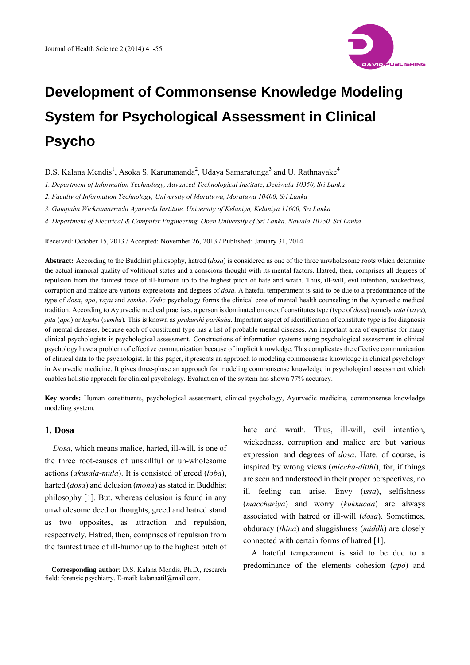

D.S. Kalana Mendis<sup>1</sup>, Asoka S. Karunananda<sup>2</sup>, Udaya Samaratunga<sup>3</sup> and U. Rathnayake<sup>4</sup>

*1. Department of Information Technology, Advanced Technological Institute, Dehiwala 10350, Sri Lanka* 

*2. Faculty of Information Technology, University of Moratuwa, Moratuwa 10400, Sri Lanka* 

*3. Gampaha Wickramarrachi Ayurveda Institute, University of Kelaniya, Kelaniya 11600, Sri Lanka* 

*4. Department of Electrical & Computer Engineering, Open University of Sri Lanka, Nawala 10250, Sri Lanka* 

Received: October 15, 2013 / Accepted: November 26, 2013 / Published: January 31, 2014.

**Abstract:** According to the Buddhist philosophy, hatred (*dosa*) is considered as one of the three unwholesome roots which determine the actual immoral quality of volitional states and a conscious thought with its mental factors. Hatred, then, comprises all degrees of repulsion from the faintest trace of ill-humour up to the highest pitch of hate and wrath. Thus, ill-will, evil intention, wickedness, corruption and malice are various expressions and degrees of *dosa.* A hateful temperament is said to be due to a predominance of the type of *dosa*, *apo*, *vayu* and *semha*. *Vedic* psychology forms the clinical core of mental health counseling in the Ayurvedic medical tradition. According to Ayurvedic medical practises, a person is dominated on one of constitutes type (type of *dosa*) namely *vata* (*vayu*)*, pita* (*apo*) or *kapha* (*semha*)*.* This is known as *prakurthi pariksha.* Important aspect of identification of constitute type is for diagnosis of mental diseases, because each of constituent type has a list of probable mental diseases. An important area of expertise for many clinical psychologists is psychological assessment. Constructions of information systems using psychological assessment in clinical psychology have a problem of effective communication because of implicit knowledge. This complicates the effective communication of clinical data to the psychologist. In this paper, it presents an approach to modeling commonsense knowledge in clinical psychology in Ayurvedic medicine. It gives three-phase an approach for modeling commonsense knowledge in psychological assessment which enables holistic approach for clinical psychology. Evaluation of the system has shown 77% accuracy.

**Key words:** Human constituents, psychological assessment, clinical psychology, Ayurvedic medicine, commonsense knowledge modeling system.

# **1. Dosa**

 $\overline{a}$ 

*Dosa*, which means malice, harted, ill-will, is one of the three root-causes of unskillful or un-wholesome actions (*akusala-mula*). It is consisted of greed (*loba*), harted (*dosa*) and delusion (*moha*) as stated in Buddhist philosophy [1]. But, whereas delusion is found in any unwholesome deed or thoughts, greed and hatred stand as two opposites, as attraction and repulsion, respectively. Hatred, then, comprises of repulsion from the faintest trace of ill-humor up to the highest pitch of

**Corresponding author**: D.S. Kalana Mendis, Ph.D., research field: forensic psychiatry. E-mail: kalanaatil@mail.com.

hate and wrath. Thus, ill-will, evil intention, wickedness, corruption and malice are but various expression and degrees of *dosa*. Hate, of course, is inspired by wrong views (*miccha-ditthi*), for, if things are seen and understood in their proper perspectives, no ill feeling can arise. Envy (*issa*), selfishness (*macchariya*) and worry (*kukkucaa*) are always associated with hatred or ill-will (*dosa*). Sometimes, obduracy (*thina*) and sluggishness (*middh*) are closely connected with certain forms of hatred [1].

A hateful temperament is said to be due to a predominance of the elements cohesion (*apo*) and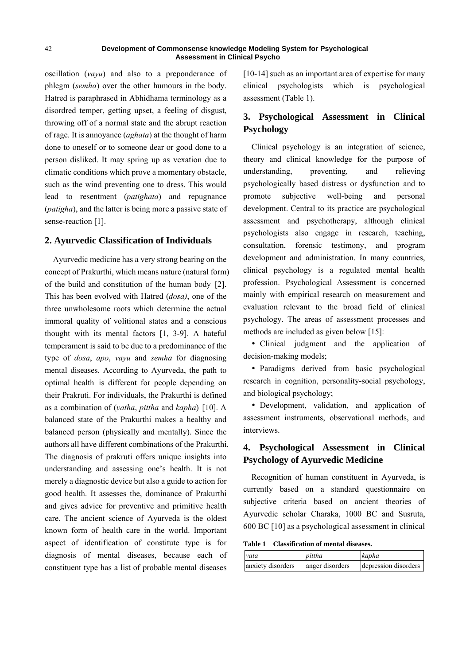oscillation (*vayu*) and also to a preponderance of phlegm (*semha*) over the other humours in the body. Hatred is paraphrased in Abhidhama terminology as a disordred temper, getting upset, a feeling of disgust, throwing off of a normal state and the abrupt reaction of rage. It is annoyance (*aghata*) at the thought of harm done to oneself or to someone dear or good done to a person disliked. It may spring up as vexation due to climatic conditions which prove a momentary obstacle, such as the wind preventing one to dress. This would lead to resentment (*patighata*) and repugnance (*patigha*), and the latter is being more a passive state of sense-reaction [1].

## **2. Ayurvedic Classification of Individuals**

Ayurvedic medicine has a very strong bearing on the concept of Prakurthi, which means nature (natural form) of the build and constitution of the human body [2]. This has been evolved with Hatred (*dosa)*, one of the three unwholesome roots which determine the actual immoral quality of volitional states and a conscious thought with its mental factors [1, 3-9]. A hateful temperament is said to be due to a predominance of the type of *dosa*, *apo*, *vayu* and *semha* for diagnosing mental diseases. According to Ayurveda, the path to optimal health is different for people depending on their Prakruti. For individuals, the Prakurthi is defined as a combination of (*vatha*, *pittha* and *kapha*) [10]. A balanced state of the Prakurthi makes a healthy and balanced person (physically and mentally). Since the authors all have different combinations of the Prakurthi. The diagnosis of prakruti offers unique insights into understanding and assessing one's health. It is not merely a diagnostic device but also a guide to action for good health. It assesses the, dominance of Prakurthi and gives advice for preventive and primitive health care. The ancient science of Ayurveda is the oldest known form of health care in the world. Important aspect of identification of constitute type is for diagnosis of mental diseases, because each of constituent type has a list of probable mental diseases

[10-14] such as an important area of expertise for many clinical psychologists which is psychological assessment (Table 1).

# **3. Psychological Assessment in Clinical Psychology**

Clinical psychology is an integration of science, theory and clinical knowledge for the purpose of understanding, preventing, and relieving psychologically based distress or dysfunction and to promote subjective well-being and personal development. Central to its practice are psychological assessment and psychotherapy, although clinical psychologists also engage in research, teaching, consultation, forensic testimony, and program development and administration. In many countries, clinical psychology is a regulated mental health profession. Psychological Assessment is concerned mainly with empirical research on measurement and evaluation relevant to the broad field of clinical psychology. The areas of assessment processes and methods are included as given below [15]:

 Clinical judgment and the application of decision-making models;

• Paradigms derived from basic psychological research in cognition, personality-social psychology, and biological psychology;

 Development, validation, and application of assessment instruments, observational methods, and interviews.

# **4. Psychological Assessment in Clinical Psychology of Ayurvedic Medicine**

Recognition of human constituent in Ayurveda, is currently based on a standard questionnaire on subjective criteria based on ancient theories of Ayurvedic scholar Charaka, 1000 BC and Susruta, 600 BC [10] as a psychological assessment in clinical

**Table 1 Classification of mental diseases.** 

| vata              | pittha          | kapha                |
|-------------------|-----------------|----------------------|
| anxiety disorders | anger disorders | depression disorders |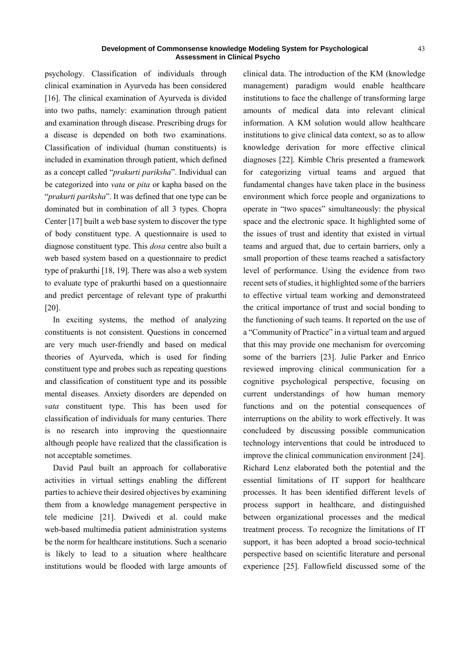psychology. Classification of individuals through clinical examination in Ayurveda has been considered [16]. The clinical examination of Ayurveda is divided into two paths, namely: examination through patient and examination through disease. Prescribing drugs for a disease is depended on both two examinations. Classification of individual (human constituents) is included in examination through patient, which defined as a concept called "*prakurti pariksha*". Individual can be categorized into *vata* or *pita* or kapha based on the "*prakurti pariksha*". It was defined that one type can be dominated but in combination of all 3 types. Chopra Center [17] built a web base system to discover the type of body constituent type. A questionnaire is used to diagnose constituent type. This *dosa* centre also built a web based system based on a questionnaire to predict type of prakurthi [18, 19]. There was also a web system to evaluate type of prakurthi based on a questionnaire and predict percentage of relevant type of prakurthi [20].

In exciting systems, the method of analyzing constituents is not consistent. Questions in concerned are very much user-friendly and based on medical theories of Ayurveda, which is used for finding constituent type and probes such as repeating questions and classification of constituent type and its possible mental diseases. Anxiety disorders are depended on *vata* constituent type. This has been used for classification of individuals for many centuries. There is no research into improving the questionnaire although people have realized that the classification is not acceptable sometimes.

David Paul built an approach for collaborative activities in virtual settings enabling the different parties to achieve their desired objectives by examining them from a knowledge management perspective in tele medicine [21]. Dwivedi et al. could make web-based multimedia patient administration systems be the norm for healthcare institutions. Such a scenario is likely to lead to a situation where healthcare institutions would be flooded with large amounts of clinical data. The introduction of the KM (knowledge management) paradigm would enable healthcare institutions to face the challenge of transforming large amounts of medical data into relevant clinical information. A KM solution would allow healthcare institutions to give clinical data context, so as to allow knowledge derivation for more effective clinical diagnoses [22]. Kimble Chris presented a framework for categorizing virtual teams and argued that fundamental changes have taken place in the business environment which force people and organizations to operate in "two spaces" simultaneously: the physical space and the electronic space. It highlighted some of the issues of trust and identity that existed in virtual teams and argued that, due to certain barriers, only a small proportion of these teams reached a satisfactory level of performance. Using the evidence from two recent sets of studies, it highlighted some of the barriers to effective virtual team working and demonstrateed the critical importance of trust and social bonding to the functioning of such teams. It reported on the use of a "Community of Practice" in a virtual team and argued that this may provide one mechanism for overcoming some of the barriers [23]. Julie Parker and Enrico reviewed improving clinical communication for a cognitive psychological perspective, focusing on current understandings of how human memory functions and on the potential consequences of interruptions on the ability to work effectively. It was concludeed by discussing possible communication technology interventions that could be introduced to improve the clinical communication environment [24]. Richard Lenz elaborated both the potential and the essential limitations of IT support for healthcare processes. It has been identified different levels of process support in healthcare, and distinguished between organizational processes and the medical treatment process. To recognize the limitations of IT support, it has been adopted a broad socio-technical perspective based on scientific literature and personal experience [25]. Fallowfield discussed some of the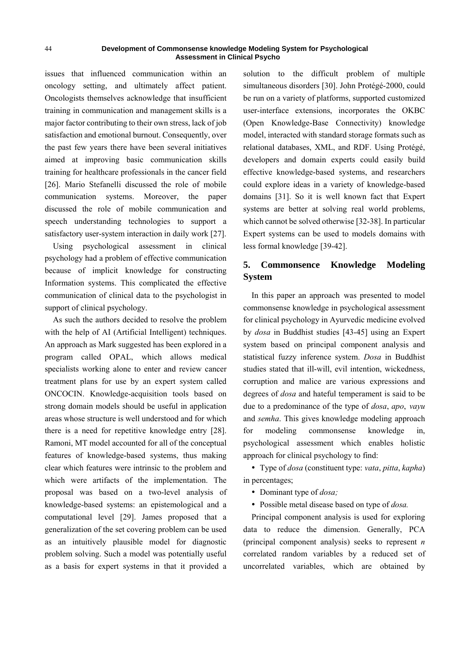issues that influenced communication within an oncology setting, and ultimately affect patient. Oncologists themselves acknowledge that insufficient training in communication and management skills is a major factor contributing to their own stress, lack of job satisfaction and emotional burnout. Consequently, over the past few years there have been several initiatives aimed at improving basic communication skills training for healthcare professionals in the cancer field [26]. Mario Stefanelli discussed the role of mobile communication systems. Moreover, the paper discussed the role of mobile communication and speech understanding technologies to support a satisfactory user-system interaction in daily work [27].

Using psychological assessment in clinical psychology had a problem of effective communication because of implicit knowledge for constructing Information systems. This complicated the effective communication of clinical data to the psychologist in support of clinical psychology.

As such the authors decided to resolve the problem with the help of AI (Artificial Intelligent) techniques. An approach as Mark suggested has been explored in a program called OPAL, which allows medical specialists working alone to enter and review cancer treatment plans for use by an expert system called ONCOCIN. Knowledge-acquisition tools based on strong domain models should be useful in application areas whose structure is well understood and for which there is a need for repetitive knowledge entry [28]. Ramoni, MT model accounted for all of the conceptual features of knowledge-based systems, thus making clear which features were intrinsic to the problem and which were artifacts of the implementation. The proposal was based on a two-level analysis of knowledge-based systems: an epistemological and a computational level [29]. James proposed that a generalization of the set covering problem can be used as an intuitively plausible model for diagnostic problem solving. Such a model was potentially useful as a basis for expert systems in that it provided a

solution to the difficult problem of multiple simultaneous disorders [30]. John Protégé-2000, could be run on a variety of platforms, supported customized user-interface extensions, incorporates the OKBC (Open Knowledge-Base Connectivity) knowledge model, interacted with standard storage formats such as relational databases, XML, and RDF. Using Protégé, developers and domain experts could easily build effective knowledge-based systems, and researchers could explore ideas in a variety of knowledge-based domains [31]. So it is well known fact that Expert systems are better at solving real world problems, which cannot be solved otherwise [32-38]. In particular Expert systems can be used to models domains with less formal knowledge [39-42].

# **5. Commonsence Knowledge Modeling System**

In this paper an approach was presented to model commonsense knowledge in psychological assessment for clinical psychology in Ayurvedic medicine evolved by *dosa* in Buddhist studies [43-45] using an Expert system based on principal component analysis and statistical fuzzy inference system. *Dosa* in Buddhist studies stated that ill-will, evil intention, wickedness, corruption and malice are various expressions and degrees of *dosa* and hateful temperament is said to be due to a predominance of the type of *dosa*, *apo*, *vayu*  and *semha*. This gives knowledge modeling approach for modeling commonsense knowledge in, psychological assessment which enables holistic approach for clinical psychology to find:

 Type of *dosa* (constituent type: *vata*, *pitta*, *kapha*) in percentages;

- Dominant type of *dosa;*
- Possible metal disease based on type of *dosa.*

Principal component analysis is used for exploring data to reduce the dimension. Generally, PCA (principal component analysis) seeks to represent *n* correlated random variables by a reduced set of uncorrelated variables, which are obtained by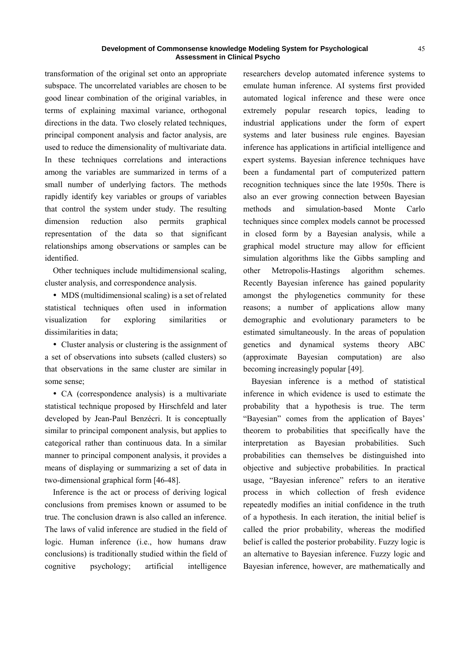transformation of the original set onto an appropriate subspace. The uncorrelated variables are chosen to be good linear combination of the original variables, in terms of explaining maximal variance, orthogonal directions in the data. Two closely related techniques, principal component analysis and factor analysis, are used to reduce the dimensionality of multivariate data. In these techniques correlations and interactions among the variables are summarized in terms of a small number of underlying factors. The methods rapidly identify key variables or groups of variables that control the system under study. The resulting dimension reduction also permits graphical representation of the data so that significant relationships among observations or samples can be identified.

Other techniques include multidimensional scaling, cluster analysis, and correspondence analysis.

• MDS (multidimensional scaling) is a set of related statistical techniques often used in information visualization for exploring similarities or dissimilarities in data;

• Cluster analysis or clustering is the assignment of a set of observations into subsets (called clusters) so that observations in the same cluster are similar in some sense;

 CA (correspondence analysis) is a multivariate statistical technique proposed by Hirschfeld and later developed by Jean-Paul Benzécri. It is conceptually similar to principal component analysis, but applies to categorical rather than continuous data. In a similar manner to principal component analysis, it provides a means of displaying or summarizing a set of data in two-dimensional graphical form [46-48].

Inference is the act or process of deriving logical conclusions from premises known or assumed to be true. The conclusion drawn is also called an inference. The laws of valid inference are studied in the field of logic. Human inference (i.e., how humans draw conclusions) is traditionally studied within the field of cognitive psychology; artificial intelligence

researchers develop automated inference systems to emulate human inference. AI systems first provided automated logical inference and these were once extremely popular research topics, leading to industrial applications under the form of expert systems and later business rule engines. Bayesian inference has applications in artificial intelligence and expert systems. Bayesian inference techniques have been a fundamental part of computerized pattern recognition techniques since the late 1950s. There is also an ever growing connection between Bayesian methods and simulation-based Monte Carlo techniques since complex models cannot be processed in closed form by a Bayesian analysis, while a graphical model structure may allow for efficient simulation algorithms like the Gibbs sampling and other Metropolis-Hastings algorithm schemes. Recently Bayesian inference has gained popularity amongst the phylogenetics community for these reasons; a number of applications allow many demographic and evolutionary parameters to be estimated simultaneously. In the areas of population genetics and dynamical systems theory ABC (approximate Bayesian computation) are also becoming increasingly popular [49].

Bayesian inference is a method of statistical inference in which evidence is used to estimate the probability that a hypothesis is true. The term "Bayesian" comes from the application of Bayes' theorem to probabilities that specifically have the interpretation as Bayesian probabilities. Such probabilities can themselves be distinguished into objective and subjective probabilities. In practical usage, "Bayesian inference" refers to an iterative process in which collection of fresh evidence repeatedly modifies an initial confidence in the truth of a hypothesis. In each iteration, the initial belief is called the prior probability, whereas the modified belief is called the posterior probability. Fuzzy logic is an alternative to Bayesian inference. Fuzzy logic and Bayesian inference, however, are mathematically and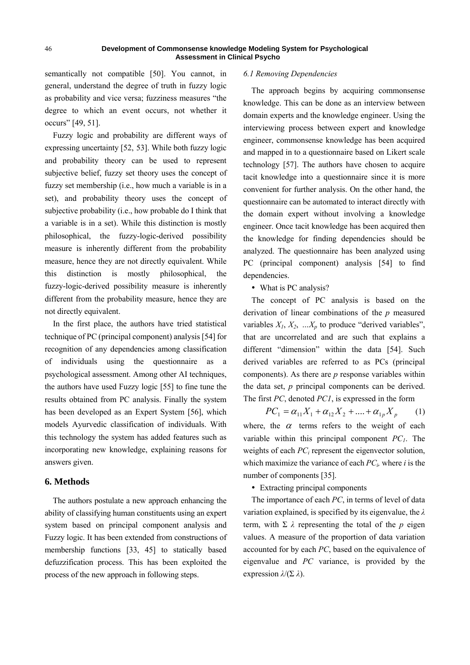semantically not compatible [50]. You cannot, in general, understand the degree of truth in fuzzy logic as probability and vice versa; fuzziness measures "the degree to which an event occurs, not whether it occurs" [49, 51].

Fuzzy logic and probability are different ways of expressing uncertainty [52, 53]. While both fuzzy logic and probability theory can be used to represent subjective belief, fuzzy set theory uses the concept of fuzzy set membership (i.e., how much a variable is in a set), and probability theory uses the concept of subjective probability (i.e., how probable do I think that a variable is in a set). While this distinction is mostly philosophical, the fuzzy-logic-derived possibility measure is inherently different from the probability measure, hence they are not directly equivalent. While this distinction is mostly philosophical, the fuzzy-logic-derived possibility measure is inherently different from the probability measure, hence they are not directly equivalent.

In the first place, the authors have tried statistical technique of PC (principal component) analysis [54] for recognition of any dependencies among classification of individuals using the questionnaire as a psychological assessment. Among other AI techniques, the authors have used Fuzzy logic [55] to fine tune the results obtained from PC analysis. Finally the system has been developed as an Expert System [56], which models Ayurvedic classification of individuals. With this technology the system has added features such as incorporating new knowledge, explaining reasons for answers given.

## **6. Methods**

The authors postulate a new approach enhancing the ability of classifying human constituents using an expert system based on principal component analysis and Fuzzy logic. It has been extended from constructions of membership functions [33, 45] to statically based defuzzification process. This has been exploited the process of the new approach in following steps.

#### *6.1 Removing Dependencies*

The approach begins by acquiring commonsense knowledge. This can be done as an interview between domain experts and the knowledge engineer. Using the interviewing process between expert and knowledge engineer, commonsense knowledge has been acquired and mapped in to a questionnaire based on Likert scale technology [57]. The authors have chosen to acquire tacit knowledge into a questionnaire since it is more convenient for further analysis. On the other hand, the questionnaire can be automated to interact directly with the domain expert without involving a knowledge engineer. Once tacit knowledge has been acquired then the knowledge for finding dependencies should be analyzed. The questionnaire has been analyzed using PC (principal component) analysis [54] to find dependencies.

• What is PC analysis?

The concept of PC analysis is based on the derivation of linear combinations of the *p* measured variables  $X_1, X_2, \ldots, X_p$  to produce "derived variables", that are uncorrelated and are such that explains a different "dimension" within the data [54]. Such derived variables are referred to as PCs (principal components). As there are *p* response variables within the data set, *p* principal components can be derived. The first *PC*, denoted *PC1*, is expressed in the form

$$
PC_1 = \alpha_{11}X_1 + \alpha_{12}X_2 + \dots + \alpha_{1p}X_p \qquad (1)
$$

where, the  $\alpha$  terms refers to the weight of each variable within this principal component  $PC<sub>1</sub>$ . The weights of each *PC<sub>i</sub>* represent the eigenvector solution, which maximize the variance of each  $PC_i$ , where *i* is the number of components [35].

Extracting principal components

The importance of each *PC*, in terms of level of data variation explained, is specified by its eigenvalue, the *λ* term, with  $\Sigma \lambda$  representing the total of the *p* eigen values. A measure of the proportion of data variation accounted for by each *PC*, based on the equivalence of eigenvalue and *PC* variance, is provided by the expression *λ*/(Σ *λ*).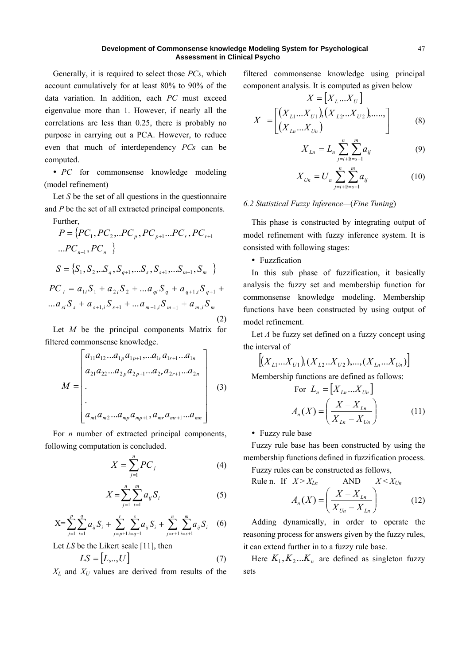Generally, it is required to select those *PCs*, which account cumulatively for at least 80% to 90% of the data variation. In addition, each *PC* must exceed eigenvalue more than 1. However, if nearly all the correlations are less than 0.25, there is probably no purpose in carrying out a PCA. However, to reduce even that much of interdependency *PCs* can be computed.

• *PC* for commonsense knowledge modeling (model refinement)

Let *S* be the set of all questions in the questionnaire and *P* be the set of all extracted principal components. Further,

$$
P = \{PC_1, PC_2, \ldots PC_p, PC_{p+1} \ldots PC_r, PC_{r+1} \ldots PC_{n-1}, PC_n \}
$$
\n
$$
S = \{S_1, S_2, \ldots S_q, S_{q+1}, \ldots S_s, S_{s+1}, \ldots S_{m-1}, S_m \}
$$
\n
$$
PC_i = a_{1i}S_1 + a_{2i}S_2 + \ldots a_{qi}S_q + a_{q+1,i}S_{q+1} + \ldots a_{si}S_s + a_{s+1,i}S_{s+1} + \ldots a_{m-1,i}S_{m-1} + a_{m,i}S_m
$$
\n(2)

Let *M* be the principal components Matrix for filtered commonsense knowledge.

$$
M = \begin{bmatrix} a_{11}a_{12}...a_{1p}a_{1p+1}...a_{1r}a_{1r+1}...a_{1n} \\ a_{21}a_{22}...a_{2p}a_{2p+1}...a_{2r}a_{2r+1}...a_{2n} \\ \vdots \\ a_{m1}a_{m2}...a_{mp}a_{mp+1}, a_{mr}a_{mr+1}...a_{mn} \end{bmatrix}
$$
(3)

For *n* number of extracted principal components, following computation is concluded.

$$
X = \sum_{j=1}^{n} PC_j
$$
 (4)

$$
X = \sum_{j=1}^{n} \sum_{i=1}^{m} a_{ij} S_i
$$
 (5)

$$
X = \sum_{j=1}^{p} \sum_{i=1}^{q} a_{ij} S_i + \sum_{j=p+1}^{r} \sum_{i=q+1}^{s} a_{ij} S_i + \sum_{j=r+1}^{n} \sum_{i=s+1}^{m} a_{ij} S_i \quad (6)
$$

Let *LS* be the Likert scale [11], then

$$
LS = [L, ..., U]
$$
\n(7)

 $X_L$  and  $X_U$  values are derived from results of the

filtered commonsense knowledge using principal component analysis. It is computed as given below

$$
X = [X_L...X_U]
$$
  

$$
X = \begin{bmatrix} (X_{L1}...X_{U1}) (X_{L2}...X_{U2})^{(1)}, & \dots, \\ (X_{Ln}...X_{Un})^{(K)} & \dots, & \dots, \end{bmatrix}
$$
 (8)

$$
X_{Ln} = L_n \sum_{j=i+1}^{n} \sum_{i=s+1}^{m} a_{ij}
$$
 (9)

$$
X_{\nu n} = U_n \sum_{j=i+1}^{n} \sum_{i=s+1}^{m} a_{ij} \tag{10}
$$

### *6.2 Statistical Fuzzy Inference—*(*Fine Tuning*)

This phase is constructed by integrating output of model refinement with fuzzy inference system. It is consisted with following stages:

• Fuzzfication

In this sub phase of fuzzification, it basically analysis the fuzzy set and membership function for commonsense knowledge modeling. Membership functions have been constructed by using output of model refinement.

Let *A* be fuzzy set defined on a fuzzy concept using the interval of

$$
\left[ (X_{L1}...X_{U1}), (X_{L2}...X_{U2}), ..., (X_{Ln}...X_{Un}) \right]
$$
  
Membership functions are defined as follows:  
For  $L_n = [X_{Ln}...X_{Un}]$ 

$$
A_n(X) = \left(\frac{X - X_{Ln}}{X_{Ln} - X_{Un}}\right) \tag{11}
$$

• Fuzzy rule base

Fuzzy rule base has been constructed by using the membership functions defined in fuzzification process.

Fuzzy rules can be constructed as follows, Rule n. If  $X > X_{1n}$  AND  $X < X_{1n}$ 

$$
A_n(X) = \left(\frac{X - X_{Ln}}{X_{Un} - X_{Ln}}\right) \tag{12}
$$

Adding dynamically, in order to operate the reasoning process for answers given by the fuzzy rules, it can extend further in to a fuzzy rule base.

Here  $K_1, K_2...K_n$  are defined as singleton fuzzy sets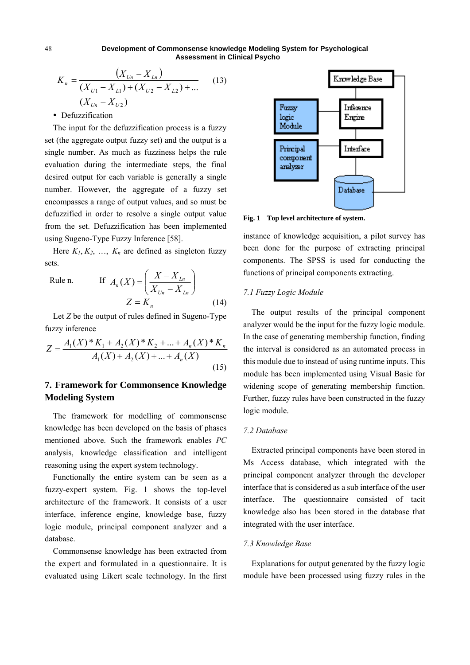$$
K_n = \frac{(X_{Un} - X_{Ln})}{(X_{U1} - X_{L1}) + (X_{U2} - X_{L2}) + \dots}
$$
 (13)  

$$
(X_{Un} - X_{U2})
$$

• Defuzzification

The input for the defuzzification process is a fuzzy set (the aggregate output fuzzy set) and the output is a single number. As much as fuzziness helps the rule evaluation during the intermediate steps, the final desired output for each variable is generally a single number. However, the aggregate of a fuzzy set encompasses a range of output values, and so must be defuzzified in order to resolve a single output value from the set. Defuzzification has been implemented using Sugeno-Type Fuzzy Inference [58].

Here  $K_1, K_2, \ldots, K_n$  are defined as singleton fuzzy sets.

Rule n. If 
$$
A_n(X) = \left(\frac{X - X_{Ln}}{X_{Ln} - X_{Ln}}\right)
$$
  

$$
Z = K_n
$$
 (14)

Let *Z* be the output of rules defined in Sugeno-Type fuzzy inference

$$
Z = \frac{A_1(X)^* K_1 + A_2(X)^* K_2 + \dots + A_n(X)^* K_n}{A_1(X) + A_2(X) + \dots + A_n(X)}
$$
\n(15)

# **7. Framework for Commonsence Knowledge Modeling System**

The framework for modelling of commonsense knowledge has been developed on the basis of phases mentioned above. Such the framework enables *PC* analysis, knowledge classification and intelligent reasoning using the expert system technology.

Functionally the entire system can be seen as a fuzzy-expert system. Fig. 1 shows the top-level architecture of the framework. It consists of a user interface, inference engine, knowledge base, fuzzy logic module, principal component analyzer and a database.

Commonsense knowledge has been extracted from the expert and formulated in a questionnaire. It is evaluated using Likert scale technology. In the first



**Fig. 1 Top level architecture of system.** 

instance of knowledge acquisition, a pilot survey has been done for the purpose of extracting principal components. The SPSS is used for conducting the functions of principal components extracting.

## *7.1 Fuzzy Logic Module*

The output results of the principal component analyzer would be the input for the fuzzy logic module. In the case of generating membership function, finding the interval is considered as an automated process in this module due to instead of using runtime inputs. This module has been implemented using Visual Basic for widening scope of generating membership function. Further, fuzzy rules have been constructed in the fuzzy logic module.

# *7.2 Database*

Extracted principal components have been stored in Ms Access database, which integrated with the principal component analyzer through the developer interface that is considered as a sub interface of the user interface. The questionnaire consisted of tacit knowledge also has been stored in the database that integrated with the user interface.

## *7.3 Knowledge Base*

Explanations for output generated by the fuzzy logic module have been processed using fuzzy rules in the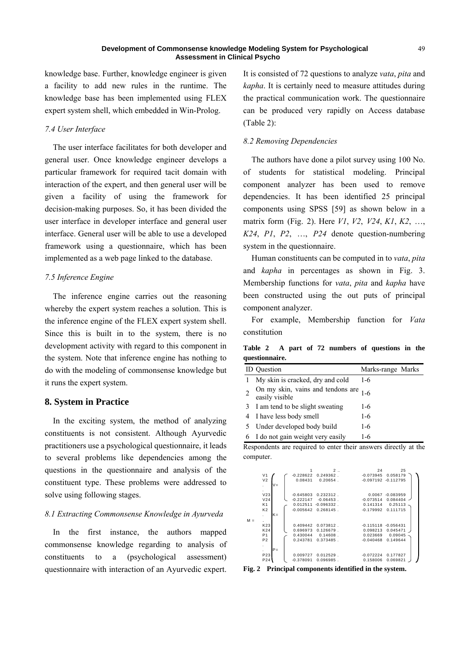knowledge base. Further, knowledge engineer is given a facility to add new rules in the runtime. The knowledge base has been implemented using FLEX expert system shell, which embedded in Win-Prolog.

## *7.4 User Interface*

The user interface facilitates for both developer and general user. Once knowledge engineer develops a particular framework for required tacit domain with interaction of the expert, and then general user will be given a facility of using the framework for decision-making purposes. So, it has been divided the user interface in developer interface and general user interface. General user will be able to use a developed framework using a questionnaire, which has been implemented as a web page linked to the database.

## *7.5 Inference Engine*

The inference engine carries out the reasoning whereby the expert system reaches a solution. This is the inference engine of the FLEX expert system shell. Since this is built in to the system, there is no development activity with regard to this component in the system. Note that inference engine has nothing to do with the modeling of commonsense knowledge but it runs the expert system.

## **8. System in Practice**

In the exciting system, the method of analyzing constituents is not consistent. Although Ayurvedic practitioners use a psychological questionnaire, it leads to several problems like dependencies among the questions in the questionnaire and analysis of the constituent type. These problems were addressed to solve using following stages.

#### *8.1 Extracting Commonsense Knowledge in Ayurveda*

In the first instance, the authors mapped commonsense knowledge regarding to analysis of constituents to a (psychological assessment) questionnaire with interaction of an Ayurvedic expert. It is consisted of 72 questions to analyze *vata*, *pita* and *kapha*. It is certainly need to measure attitudes during the practical communication work. The questionnaire can be produced very rapidly on Access database (Table 2):

#### *8.2 Removing Dependencies*

The authors have done a pilot survey using 100 No. of students for statistical modeling. Principal component analyzer has been used to remove dependencies. It has been identified 25 principal components using SPSS [59] as shown below in a matrix form (Fig. 2). Here *V1*, *V2*, *V24*, *K1*, *K2*, …, *K24*, *P1*, *P2*, …, *P24* denote question-numbering system in the questionnaire.

Human constituents can be computed in to *vata*, *pita*  and *kapha* in percentages as shown in Fig. 3. Membership functions for *vata*, *pita* and *kapha* have been constructed using the out puts of principal component analyzer.

For example, Membership function for *Vata* constitution

**Table 2 A part of 72 numbers of questions in the questionnaire.** 

|    | <b>ID</b> Question                                              | Marks-range Marks |
|----|-----------------------------------------------------------------|-------------------|
|    | My skin is cracked, dry and cold                                | $1-6$             |
|    | On my skin, vains and tendons are $_{1-6}$<br>easily visible    |                   |
| 3  | I am tend to be slight sweating                                 | $1-6$             |
| 4  | I have less body smell                                          | 1-6               |
| -5 | Under developed body build                                      | 1-6               |
|    | 6 I do not gain weight very easily                              | 1-6               |
|    | Despandents are required to enter their answers directly at the |                   |

Respondents are required to enter their answers directly at the computer.



**Fig. 2 Principal components identified in the system.**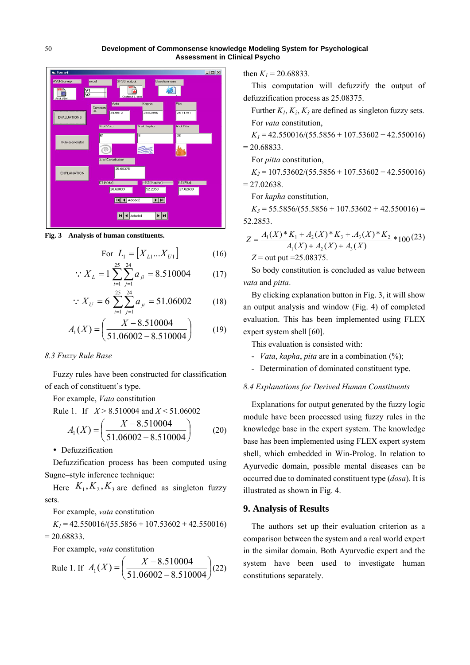

**Fig. 3 Analysis of human constituents.** 

For 
$$
L_1 = [X_{L1}...X_{U1}]
$$
 (16)

$$
\therefore X_L = 1 \sum_{i=1}^{\infty} \sum_{j=1}^{\infty} a_{ji} = 8.510004 \tag{17}
$$

$$
\therefore X_U = 6 \sum_{i=1}^{25} \sum_{j=1}^{24} a_{ji} = 51.06002 \tag{18}
$$

$$
A_1(X) = \left(\frac{X - 8.510004}{51.06002 - 8.510004}\right) \tag{19}
$$

#### *8.3 Fuzzy Rule Base*

Fuzzy rules have been constructed for classification of each of constituent's type.

For example, *Vata* constitution

Rule 1. If *X* > 8.510004 and *X* < 51.06002

$$
A_1(X) = \left(\frac{X - 8.510004}{51.06002 - 8.510004}\right) \tag{20}
$$

• Defuzzification

Defuzzification process has been computed using Sugne–style inference technique:

Here  $K_1, K_2, K_3$  are defined as singleton fuzzy sets.

For example, *vata* constitution

 $K_1$  = 42.550016/(55.5856 + 107.53602 + 42.550016)  $= 20.68833.$ 

For example, *vata* constitution

Rule 1. If 
$$
A_1(X) = \left(\frac{X - 8.510004}{51.06002 - 8.510004}\right)
$$
 (22)

then  $K_l$  = 20.68833.

This computation will defuzzify the output of defuzzification process as 25.08375.

Further  $K_1, K_2, K_3$  are defined as singleton fuzzy sets. For *vata* constitution,

 $K_1$  = 42.550016/(55.5856 + 107.53602 + 42.550016)  $= 20.68833.$ 

For *pitta* constitution,

$$
K_2 = 107.53602/(55.5856 + 107.53602 + 42.550016)
$$

$$
= 27.02638.
$$

For *kapha* constitution,

 $K_3$  = 55.5856/(55.5856 + 107.53602 + 42.550016) = 52.2853.

$$
Z = \frac{A_1(X)^* K_1 + A_2(X)^* K_3 + A_3(X)^* K_2}{A_1(X) + A_2(X) + A_3(X)}
$$
  
\n
$$
Z = \text{out put } = 25.08375.
$$

So body constitution is concluded as value between *vata* and *pitta*.

By clicking explanation button in Fig. 3, it will show an output analysis and window (Fig. 4) of completed evaluation. This has been implemented using FLEX expert system shell [60].

This evaluation is consisted with:

- *Vata*, *kapha*, *pita* are in a combination (%);
- Determination of dominated constituent type.

## *8.4 Explanations for Derived Human Constituents*

Explanations for output generated by the fuzzy logic module have been processed using fuzzy rules in the knowledge base in the expert system. The knowledge base has been implemented using FLEX expert system shell, which embedded in Win-Prolog. In relation to Ayurvedic domain, possible mental diseases can be occurred due to dominated constituent type (*dosa*). It is illustrated as shown in Fig. 4.

# **9. Analysis of Results**

The authors set up their evaluation criterion as a comparison between the system and a real world expert in the similar domain. Both Ayurvedic expert and the system have been used to investigate human constitutions separately.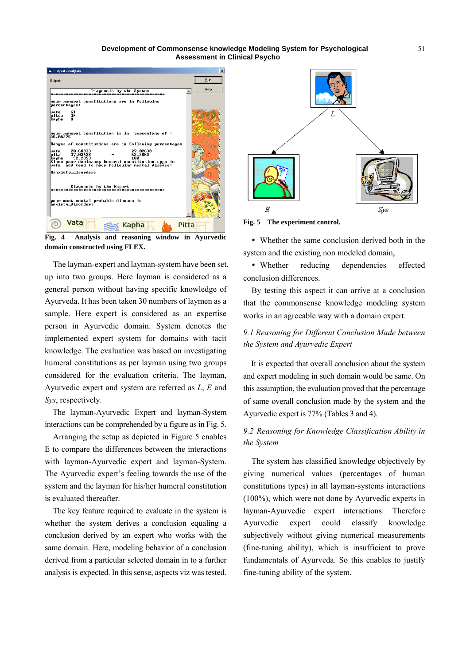

**Fig. 4 Analysis and reasoning window in Ayurvedic domain constructed using FLEX.** 

The layman-expert and layman-system have been set. up into two groups. Here layman is considered as a general person without having specific knowledge of Ayurveda. It has been taken 30 numbers of laymen as a sample. Here expert is considered as an expertise person in Ayurvedic domain. System denotes the implemented expert system for domains with tacit knowledge. The evaluation was based on investigating humeral constitutions as per layman using two groups considered for the evaluation criteria. The layman, Ayurvedic expert and system are referred as *L*, *E* and *Sys*, respectively.

The layman-Ayurvedic Expert and layman-System interactions can be comprehended by a figure as in Fig. 5.

Arranging the setup as depicted in Figure 5 enables E to compare the differences between the interactions with layman-Ayurvedic expert and layman-System. The Ayurvedic expert's feeling towards the use of the system and the layman for his/her humeral constitution is evaluated thereafter.

The key feature required to evaluate in the system is whether the system derives a conclusion equaling a conclusion derived by an expert who works with the same domain. Here, modeling behavior of a conclusion derived from a particular selected domain in to a further analysis is expected. In this sense, aspects viz was tested.



**Fig. 5 The experiment control.** 

 Whether the same conclusion derived both in the system and the existing non modeled domain,

 Whether reducing dependencies effected conclusion differences.

By testing this aspect it can arrive at a conclusion that the commonsense knowledge modeling system works in an agreeable way with a domain expert.

# *9.1 Reasoning for Different Conclusion Made between the System and Ayurvedic Expert*

It is expected that overall conclusion about the system and expert modeling in such domain would be same. On this assumption, the evaluation proved that the percentage of same overall conclusion made by the system and the Ayurvedic expert is 77% (Tables 3 and 4).

# *9.2 Reasoning for Knowledge Classification Ability in the System*

The system has classified knowledge objectively by giving numerical values (percentages of human constitutions types) in all layman-systems interactions (100%), which were not done by Ayurvedic experts in layman-Ayurvedic expert interactions. Therefore Ayurvedic expert could classify knowledge subjectively without giving numerical measurements (fine-tuning ability), which is insufficient to prove fundamentals of Ayurveda. So this enables to justify fine-tuning ability of the system.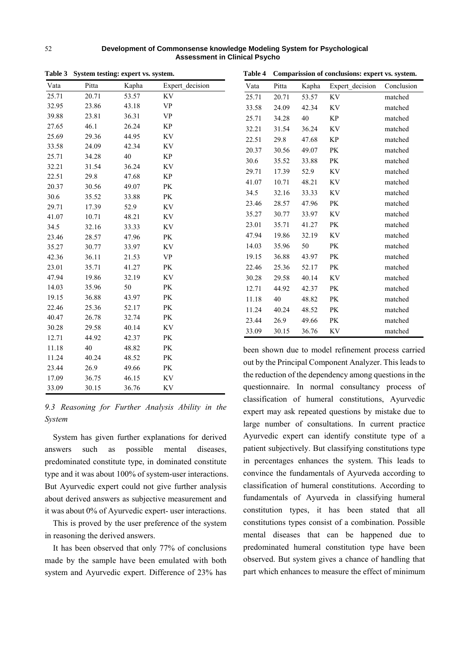|       | Table 3 System testing: expert vs. system. |        |                                   | Table 4 Comparission of conclusions: expert vs. system.                                                 |       |       |                                                      |            |
|-------|--------------------------------------------|--------|-----------------------------------|---------------------------------------------------------------------------------------------------------|-------|-------|------------------------------------------------------|------------|
| Vata  | Pitta                                      | Kapha  | Expert decision                   | Vata                                                                                                    | Pitta | Kapha | Expert decision                                      | Conclusion |
| 25.71 | 20.71                                      | 53.57  | KV                                | 25.71                                                                                                   | 20.71 | 53.57 | KV                                                   | matched    |
| 32.95 | 23.86                                      | 43.18  | $\ensuremath{\mathsf{VP}}\xspace$ | 33.58                                                                                                   | 24.09 | 42.34 | KV                                                   | matched    |
| 39.88 | 23.81                                      | 36.31  | <b>VP</b>                         | 25.71                                                                                                   | 34.28 | 40    | $\rm KP$                                             | matched    |
| 27.65 | 46.1                                       | 26.24  | $\rm KP$                          | 32.21                                                                                                   | 31.54 | 36.24 | KV                                                   | matched    |
| 25.69 | 29.36                                      | 44.95  | KV                                | 22.51                                                                                                   | 29.8  | 47.68 | KP                                                   | matched    |
| 33.58 | 24.09                                      | 42.34  | KV                                | 20.37                                                                                                   | 30.56 | 49.07 | $\mathbf{P}\mathbf{K}$                               | matched    |
| 25.71 | 34.28                                      | $40\,$ | $\rm KP$                          | 30.6                                                                                                    | 35.52 | 33.88 | $\mathbf{P}\mathbf{K}$                               | matched    |
| 32.21 | 31.54                                      | 36.24  | KV                                | 29.71                                                                                                   | 17.39 | 52.9  | KV                                                   | matched    |
| 22.51 | 29.8                                       | 47.68  | $\rm KP$                          | 41.07                                                                                                   | 10.71 | 48.21 | KV                                                   | matched    |
| 20.37 | 30.56                                      | 49.07  | PK                                | 34.5                                                                                                    | 32.16 | 33.33 | KV                                                   | matched    |
| 30.6  | 35.52                                      | 33.88  | PK                                |                                                                                                         |       |       |                                                      |            |
| 29.71 | 17.39                                      | 52.9   | KV                                | 23.46                                                                                                   | 28.57 | 47.96 | PK                                                   | matched    |
| 41.07 | 10.71                                      | 48.21  | $\rm KV$                          | 35.27                                                                                                   | 30.77 | 33.97 | KV                                                   | matched    |
| 34.5  | 32.16                                      | 33.33  | $\rm KV$                          | 23.01                                                                                                   | 35.71 | 41.27 | PK                                                   | matched    |
| 23.46 | 28.57                                      | 47.96  | $\mathbf{P}\mathbf{K}$            | 47.94                                                                                                   | 19.86 | 32.19 | KV                                                   | matched    |
| 35.27 | 30.77                                      | 33.97  | KV                                | 14.03                                                                                                   | 35.96 | 50    | $\mathbf{P}\mathbf{K}$                               | matched    |
| 42.36 | 36.11                                      | 21.53  | <b>VP</b>                         | 19.15                                                                                                   | 36.88 | 43.97 | PK                                                   | matched    |
| 23.01 | 35.71                                      | 41.27  | PK                                | 22.46                                                                                                   | 25.36 | 52.17 | $\rm PK$                                             | matched    |
| 47.94 | 19.86                                      | 32.19  | $\rm KV$                          | 30.28                                                                                                   | 29.58 | 40.14 | KV                                                   | matched    |
| 14.03 | 35.96                                      | 50     | PK                                | 12.71                                                                                                   | 44.92 | 42.37 | PK                                                   | matched    |
| 19.15 | 36.88                                      | 43.97  | PK                                | 11.18                                                                                                   | 40    | 48.82 | PK                                                   | matched    |
| 22.46 | 25.36                                      | 52.17  | $\mathbf{P}\mathbf{K}$            | 11.24                                                                                                   | 40.24 | 48.52 | $\mathbf{P}\mathbf{K}$                               | matched    |
| 40.47 | 26.78                                      | 32.74  | PK                                | 23.44                                                                                                   | 26.9  | 49.66 | PK                                                   | matched    |
| 30.28 | 29.58                                      | 40.14  | KV                                | 33.09                                                                                                   | 30.15 | 36.76 | KV                                                   | matched    |
| 12.71 | 44.92                                      | 42.37  | PK                                |                                                                                                         |       |       |                                                      |            |
| 11.18 | 40                                         | 48.82  | PK                                | been shown due to model refinement process carri<br>out by the Principal Component Analyzer. This leads |       |       |                                                      |            |
| 11.24 | 40.24                                      | 48.52  | PK                                |                                                                                                         |       |       |                                                      |            |
| 23.44 | 26.9                                       | 49.66  | PK                                |                                                                                                         |       |       | the reduction of the dependency among questions in t |            |
| 17.09 | 36.75                                      | 46.15  | $\rm KV$                          |                                                                                                         |       |       |                                                      |            |
| 33.09 | 30.15                                      | 36.76  | KV                                |                                                                                                         |       |       | questionnaire. In normal consultancy process         |            |

**Table 3 System testing: expert vs. system.**

*9.3 Reasoning for Further Analysis Ability in the System* 

System has given further explanations for derived answers such as possible mental diseases, predominated constitute type, in dominated constitute type and it was about 100% of system-user interactions. But Ayurvedic expert could not give further analysis about derived answers as subjective measurement and it was about 0% of Ayurvedic expert- user interactions.

This is proved by the user preference of the system in reasoning the derived answers.

It has been observed that only 77% of conclusions made by the sample have been emulated with both system and Ayurvedic expert. Difference of 23% has

| Vata  | Pitta | Kapha | Expert decision | Conclusion |
|-------|-------|-------|-----------------|------------|
| 25.71 | 20.71 | 53.57 | <b>KV</b>       | matched    |
| 33.58 | 24.09 | 42.34 | KV              | matched    |
| 25.71 | 34.28 | 40    | KP              | matched    |
| 32.21 | 31.54 | 36.24 | KV              | matched    |
| 22.51 | 29.8  | 47.68 | <b>KP</b>       | matched    |
| 20.37 | 30.56 | 49.07 | PK              | matched    |
| 30.6  | 35.52 | 33.88 | PК              | matched    |
| 29.71 | 17.39 | 52.9  | KV              | matched    |
| 41.07 | 10.71 | 48.21 | KV              | matched    |
| 34.5  | 32.16 | 33.33 | <b>KV</b>       | matched    |
| 23.46 | 28.57 | 47.96 | PK              | matched    |
| 35.27 | 30.77 | 33.97 | KV              | matched    |
| 23.01 | 35.71 | 41.27 | PK              | matched    |
| 47.94 | 19.86 | 32.19 | KV              | matched    |
| 14.03 | 35.96 | 50    | PK              | matched    |
| 19.15 | 36.88 | 43.97 | <b>PK</b>       | matched    |
| 22.46 | 25.36 | 52.17 | <b>PK</b>       | matched    |
| 30.28 | 29.58 | 40.14 | KV              | matched    |
| 12.71 | 44.92 | 42.37 | PK              | matched    |
| 11.18 | 40    | 48.82 | PK              | matched    |
| 11.24 | 40.24 | 48.52 | PK              | matched    |
| 23.44 | 26.9  | 49.66 | PK              | matched    |
| 33.09 | 30.15 | 36.76 | KV              | matched    |

le to model refinement process carried cipal Component Analyzer. This leads to f the dependency among questions in the In normal consultancy process of classification of humeral constitutions, Ayurvedic expert may ask repeated questions by mistake due to large number of consultations. In current practice Ayurvedic expert can identify constitute type of a patient subjectively. But classifying constitutions type in percentages enhances the system. This leads to convince the fundamentals of Ayurveda according to classification of humeral constitutions. According to fundamentals of Ayurveda in classifying humeral constitution types, it has been stated that all constitutions types consist of a combination. Possible mental diseases that can be happened due to predominated humeral constitution type have been observed. But system gives a chance of handling that part which enhances to measure the effect of minimum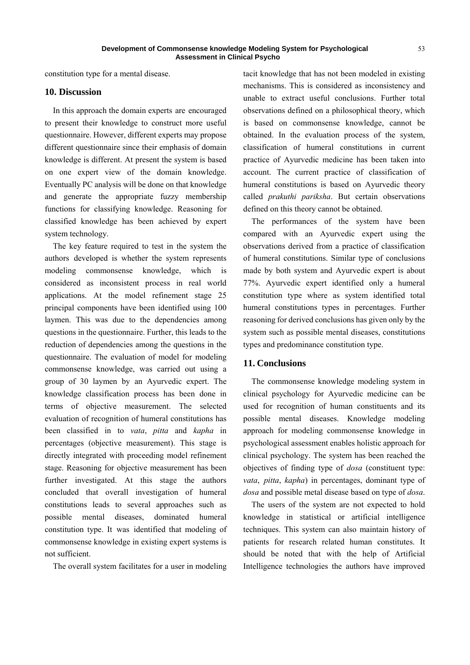constitution type for a mental disease.

### **10. Discussion**

In this approach the domain experts are encouraged to present their knowledge to construct more useful questionnaire. However, different experts may propose different questionnaire since their emphasis of domain knowledge is different. At present the system is based on one expert view of the domain knowledge. Eventually PC analysis will be done on that knowledge and generate the appropriate fuzzy membership functions for classifying knowledge. Reasoning for classified knowledge has been achieved by expert system technology.

The key feature required to test in the system the authors developed is whether the system represents modeling commonsense knowledge, which is considered as inconsistent process in real world applications. At the model refinement stage 25 principal components have been identified using 100 laymen. This was due to the dependencies among questions in the questionnaire. Further, this leads to the reduction of dependencies among the questions in the questionnaire. The evaluation of model for modeling commonsense knowledge, was carried out using a group of 30 laymen by an Ayurvedic expert. The knowledge classification process has been done in terms of objective measurement. The selected evaluation of recognition of humeral constitutions has been classified in to *vata*, *pitta* and *kapha* in percentages (objective measurement). This stage is directly integrated with proceeding model refinement stage. Reasoning for objective measurement has been further investigated. At this stage the authors concluded that overall investigation of humeral constitutions leads to several approaches such as possible mental diseases, dominated humeral constitution type. It was identified that modeling of commonsense knowledge in existing expert systems is not sufficient.

The overall system facilitates for a user in modeling

tacit knowledge that has not been modeled in existing mechanisms. This is considered as inconsistency and unable to extract useful conclusions. Further total observations defined on a philosophical theory, which is based on commonsense knowledge, cannot be obtained. In the evaluation process of the system, classification of humeral constitutions in current practice of Ayurvedic medicine has been taken into account. The current practice of classification of humeral constitutions is based on Ayurvedic theory called *prakuthi pariksha*. But certain observations defined on this theory cannot be obtained.

The performances of the system have been compared with an Ayurvedic expert using the observations derived from a practice of classification of humeral constitutions. Similar type of conclusions made by both system and Ayurvedic expert is about 77%. Ayurvedic expert identified only a humeral constitution type where as system identified total humeral constitutions types in percentages. Further reasoning for derived conclusions has given only by the system such as possible mental diseases, constitutions types and predominance constitution type.

#### **11. Conclusions**

The commonsense knowledge modeling system in clinical psychology for Ayurvedic medicine can be used for recognition of human constituents and its possible mental diseases. Knowledge modeling approach for modeling commonsense knowledge in psychological assessment enables holistic approach for clinical psychology. The system has been reached the objectives of finding type of *dosa* (constituent type: *vata*, *pitta*, *kapha*) in percentages, dominant type of *dosa* and possible metal disease based on type of *dosa*.

The users of the system are not expected to hold knowledge in statistical or artificial intelligence techniques. This system can also maintain history of patients for research related human constitutes. It should be noted that with the help of Artificial Intelligence technologies the authors have improved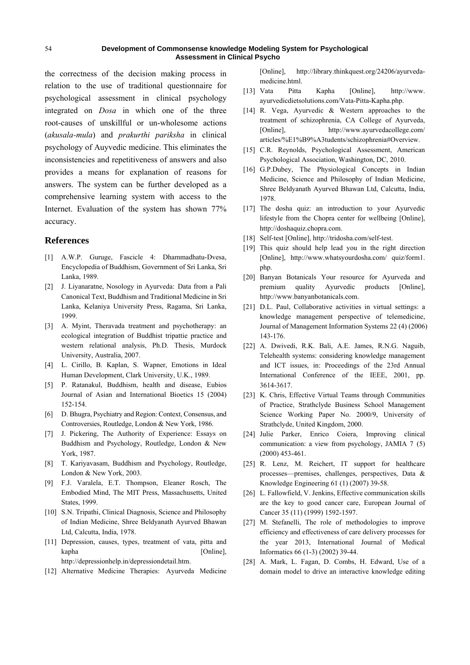the correctness of the decision making process in relation to the use of traditional questionnaire for psychological assessment in clinical psychology integrated on *Dosa* in which one of the three root-causes of unskillful or un-wholesome actions (*akusala-mula*) and *prakurthi pariksha* in clinical psychology of Auyvedic medicine. This eliminates the inconsistencies and repetitiveness of answers and also provides a means for explanation of reasons for answers. The system can be further developed as a comprehensive learning system with access to the Internet. Evaluation of the system has shown 77% accuracy.

#### **References**

- [1] A.W.P. Guruge, Fascicle 4: Dhammadhatu-Dvesa, Encyclopedia of Buddhism, Government of Sri Lanka, Sri Lanka, 1989.
- [2] J. Liyanaratne, Nosology in Ayurveda: Data from a Pali Canonical Text, Buddhism and Traditional Medicine in Sri Lanka, Kelaniya University Press, Ragama, Sri Lanka, 1999.
- [3] A. Myint, Theravada treatment and psychotherapy: an ecological integration of Buddhist tripattie practice and western relational analysis, Ph.D. Thesis, Murdock University, Australia, 2007.
- [4] L. Cirillo, B. Kaplan, S. Wapner, Emotions in Ideal Human Development, Clark University, U.K., 1989.
- [5] P. Ratanakul, Buddhism, health and disease, Eubios Journal of Asian and International Bioetics 15 (2004) 152-154.
- [6] D. Bhugra, Psychiatry and Region: Context, Consensus, and Controversies, Routledge, London & New York, 1986.
- [7] J. Pickering, The Authority of Experience: Essays on Buddhism and Psychology, Routledge, London & New York, 1987.
- [8] T. Kariyavasam, Buddhism and Psychology, Routledge, London & New York, 2003.
- [9] F.J. Varalela, E.T. Thompson, Eleaner Rosch, The Embodied Mind, The MIT Press, Massachusetts, United States, 1999.
- [10] S.N. Tripathi, Clinical Diagnosis, Science and Philosophy of Indian Medicine, Shree Beldyanath Ayurved Bhawan Ltd, Calcutta, India, 1978.
- [11] Depression, causes, types, treatment of vata, pitta and kapha [Online], http://depressionhelp.in/depressiondetail.htm.
- [12] Alternative Medicine Therapies: Ayurveda Medicine

[Online], http://library.thinkquest.org/24206/ayurvedamedicine.html.

- [13] Vata Pitta Kapha [Online], http://www. ayurvedicdietsolutions.com/Vata-Pitta-Kapha.php.
- [14] R. Vega, Ayurvedic & Western approaches to the treatment of schizophrenia, CA College of Ayurveda, [Online], http://www.ayurvedacollege.com/ articles/%E1%B9%A3tudents/schizophrenia#Overview.
- [15] C.R. Reynolds, Psychological Assessment, American Psychological Association, Washington, DC, 2010.
- [16] G.P.Dubey, The Physiological Concepts in Indian Medicine, Science and Philosophy of Indian Medicine, Shree Beldyanath Ayurved Bhawan Ltd, Calcutta, India, 1978.
- [17] The dosha quiz: an introduction to your Ayurvedic lifestyle from the Chopra center for wellbeing [Online], http://doshaquiz.chopra.com.
- [18] Self-test [Online], http://tridosha.com/self-test.
- [19] This quiz should help lead you in the right direction [Online], http://www.whatsyourdosha.com/ quiz/form1. php.
- [20] Banyan Botanicals Your resource for Ayurveda and premium quality Ayurvedic products [Online], http://www.banyanbotanicals.com.
- [21] D.L. Paul, Collaborative activities in virtual settings: a knowledge management perspective of telemedicine, Journal of Management Information Systems 22 (4) (2006) 143-176.
- [22] A. Dwivedi, R.K. Bali, A.E. James, R.N.G. Naguib, Telehealth systems: considering knowledge management and ICT issues, in: Proceedings of the 23rd Annual International Conference of the IEEE, 2001, pp. 3614-3617.
- [23] K. Chris, Effective Virtual Teams through Communities of Practice, Strathclyde Business School Management Science Working Paper No. 2000/9, University of Strathclyde, United Kingdom, 2000.
- [24] Julie Parker, Enrico Coiera, Improving clinical communication: a view from psychology, JAMIA 7 (5) (2000) 453-461.
- [25] R. Lenz, M. Reichert, IT support for healthcare processes—premises, challenges, perspectives, Data & Knowledge Engineering 61 (1) (2007) 39-58.
- [26] L. Fallowfield, V. Jenkins, Effective communication skills are the key to good cancer care, European Journal of Cancer 35 (11) (1999) 1592-1597.
- [27] M. Stefanelli, The role of methodologies to improve efficiency and effectiveness of care delivery processes for the year 2013, International Journal of Medical Informatics 66 (1-3) (2002) 39-44.
- [28] A. Mark, L. Fagan, D. Combs, H. Edward, Use of a domain model to drive an interactive knowledge editing